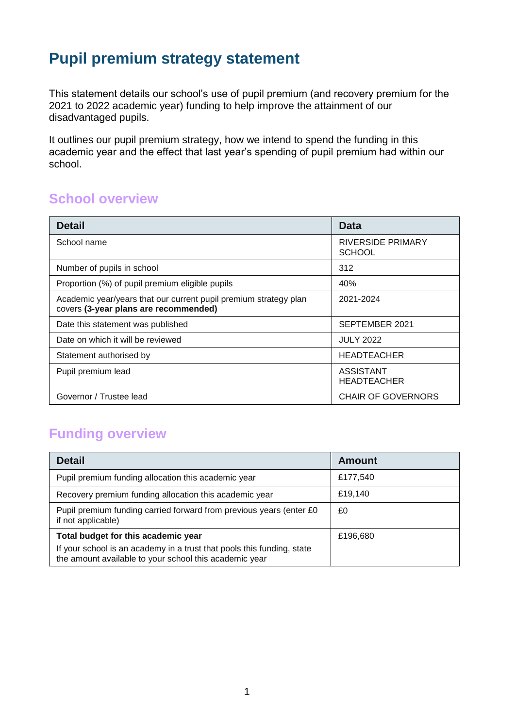# **Pupil premium strategy statement**

This statement details our school's use of pupil premium (and recovery premium for the 2021 to 2022 academic year) funding to help improve the attainment of our disadvantaged pupils.

It outlines our pupil premium strategy, how we intend to spend the funding in this academic year and the effect that last year's spending of pupil premium had within our school.

### **School overview**

| <b>Detail</b>                                                                                             | Data                                      |
|-----------------------------------------------------------------------------------------------------------|-------------------------------------------|
| School name                                                                                               | <b>RIVERSIDE PRIMARY</b><br><b>SCHOOL</b> |
| Number of pupils in school                                                                                | 312                                       |
| Proportion (%) of pupil premium eligible pupils                                                           | 40%                                       |
| Academic year/years that our current pupil premium strategy plan<br>covers (3-year plans are recommended) | 2021-2024                                 |
| Date this statement was published                                                                         | SEPTEMBER 2021                            |
| Date on which it will be reviewed                                                                         | <b>JULY 2022</b>                          |
| Statement authorised by                                                                                   | <b>HEADTEACHER</b>                        |
| Pupil premium lead                                                                                        | ASSISTANT<br><b>HEADTEACHER</b>           |
| Governor / Trustee lead                                                                                   | <b>CHAIR OF GOVERNORS</b>                 |

## **Funding overview**

| <b>Detail</b>                                                                                                                    | <b>Amount</b> |
|----------------------------------------------------------------------------------------------------------------------------------|---------------|
| Pupil premium funding allocation this academic year                                                                              | £177,540      |
| Recovery premium funding allocation this academic year                                                                           | £19,140       |
| Pupil premium funding carried forward from previous years (enter £0)<br>if not applicable)                                       | £0            |
| Total budget for this academic year                                                                                              | £196,680      |
| If your school is an academy in a trust that pools this funding, state<br>the amount available to your school this academic year |               |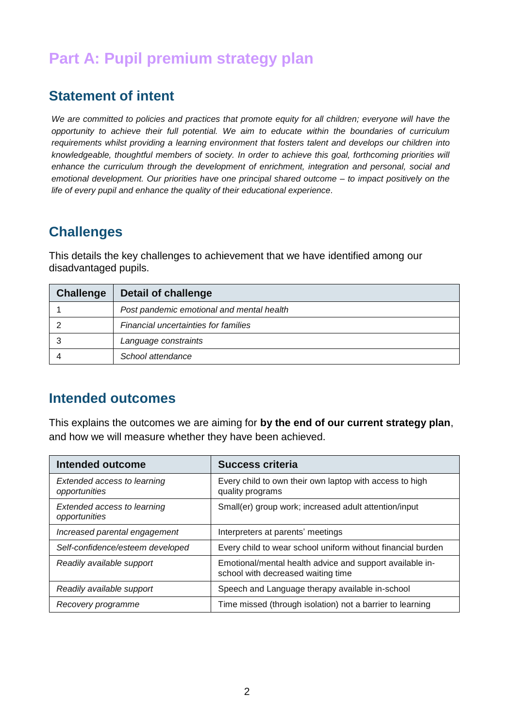# **Part A: Pupil premium strategy plan**

### **Statement of intent**

*We are committed to policies and practices that promote equity for all children; everyone will have the opportunity to achieve their full potential. We aim to educate within the boundaries of curriculum requirements whilst providing a learning environment that fosters talent and develops our children into knowledgeable, thoughtful members of society. In order to achieve this goal, forthcoming priorities will enhance the curriculum through the development of enrichment, integration and personal, social and emotional development. Our priorities have one principal shared outcome – to impact positively on the life of every pupil and enhance the quality of their educational experience.*

## **Challenges**

This details the key challenges to achievement that we have identified among our disadvantaged pupils.

| Challenge | <b>Detail of challenge</b>                |
|-----------|-------------------------------------------|
|           | Post pandemic emotional and mental health |
|           | Financial uncertainties for families      |
|           | Language constraints                      |
|           | School attendance                         |

### **Intended outcomes**

This explains the outcomes we are aiming for **by the end of our current strategy plan**, and how we will measure whether they have been achieved.

| Intended outcome                                    | <b>Success criteria</b>                                                                        |
|-----------------------------------------------------|------------------------------------------------------------------------------------------------|
| <b>Extended access to learning</b><br>opportunities | Every child to own their own laptop with access to high<br>quality programs                    |
| Extended access to learning<br>opportunities        | Small(er) group work; increased adult attention/input                                          |
| Increased parental engagement                       | Interpreters at parents' meetings                                                              |
| Self-confidence/esteem developed                    | Every child to wear school uniform without financial burden                                    |
| Readily available support                           | Emotional/mental health advice and support available in-<br>school with decreased waiting time |
| Readily available support                           | Speech and Language therapy available in-school                                                |
| Recovery programme                                  | Time missed (through isolation) not a barrier to learning                                      |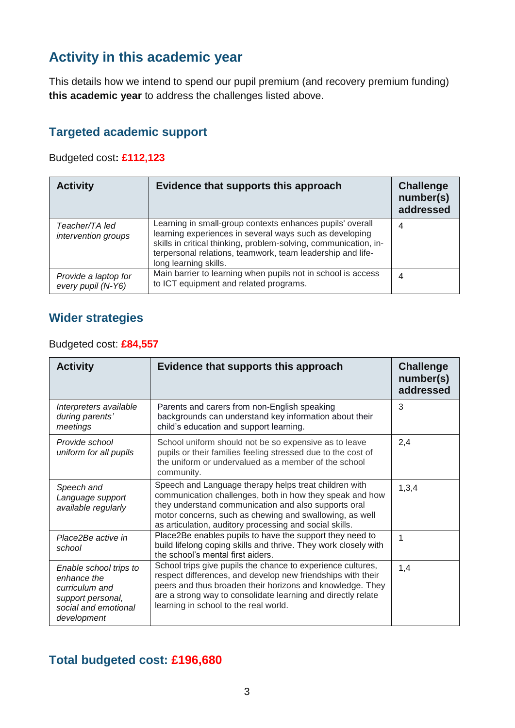# **Activity in this academic year**

This details how we intend to spend our pupil premium (and recovery premium funding) **this academic year** to address the challenges listed above.

### **Targeted academic support**

Budgeted cost**: £112,123**

| <b>Activity</b>                            | Evidence that supports this approach                                                                                                                                                                                                                                            | <b>Challenge</b><br>number(s)<br>addressed |
|--------------------------------------------|---------------------------------------------------------------------------------------------------------------------------------------------------------------------------------------------------------------------------------------------------------------------------------|--------------------------------------------|
| Teacher/TA led<br>intervention groups      | Learning in small-group contexts enhances pupils' overall<br>learning experiences in several ways such as developing<br>skills in critical thinking, problem-solving, communication, in-<br>terpersonal relations, teamwork, team leadership and life-<br>long learning skills. | 4                                          |
| Provide a laptop for<br>every pupil (N-Y6) | Main barrier to learning when pupils not in school is access<br>to ICT equipment and related programs.                                                                                                                                                                          | 4                                          |

#### **Wider strategies**

#### Budgeted cost: **£84,557**

| <b>Activity</b>                                                                                                     | Evidence that supports this approach                                                                                                                                                                                                                                                             | <b>Challenge</b><br>number(s)<br>addressed |
|---------------------------------------------------------------------------------------------------------------------|--------------------------------------------------------------------------------------------------------------------------------------------------------------------------------------------------------------------------------------------------------------------------------------------------|--------------------------------------------|
| Interpreters available<br>during parents'<br>meetings                                                               | Parents and carers from non-English speaking<br>backgrounds can understand key information about their<br>child's education and support learning.                                                                                                                                                | 3                                          |
| Provide school<br>uniform for all pupils                                                                            | School uniform should not be so expensive as to leave<br>pupils or their families feeling stressed due to the cost of<br>the uniform or undervalued as a member of the school<br>community.                                                                                                      | 2,4                                        |
| Speech and<br>Language support<br>available regularly                                                               | Speech and Language therapy helps treat children with<br>communication challenges, both in how they speak and how<br>they understand communication and also supports oral<br>motor concerns, such as chewing and swallowing, as well<br>as articulation, auditory processing and social skills.  | 1,3,4                                      |
| Place2Be active in<br>school                                                                                        | Place2Be enables pupils to have the support they need to<br>build lifelong coping skills and thrive. They work closely with<br>the school's mental first aiders.                                                                                                                                 | 1                                          |
| Enable school trips to<br>enhance the<br>curriculum and<br>support personal,<br>social and emotional<br>development | School trips give pupils the chance to experience cultures,<br>respect differences, and develop new friendships with their<br>peers and thus broaden their horizons and knowledge. They<br>are a strong way to consolidate learning and directly relate<br>learning in school to the real world. | 1,4                                        |

# **Total budgeted cost: £196,680**